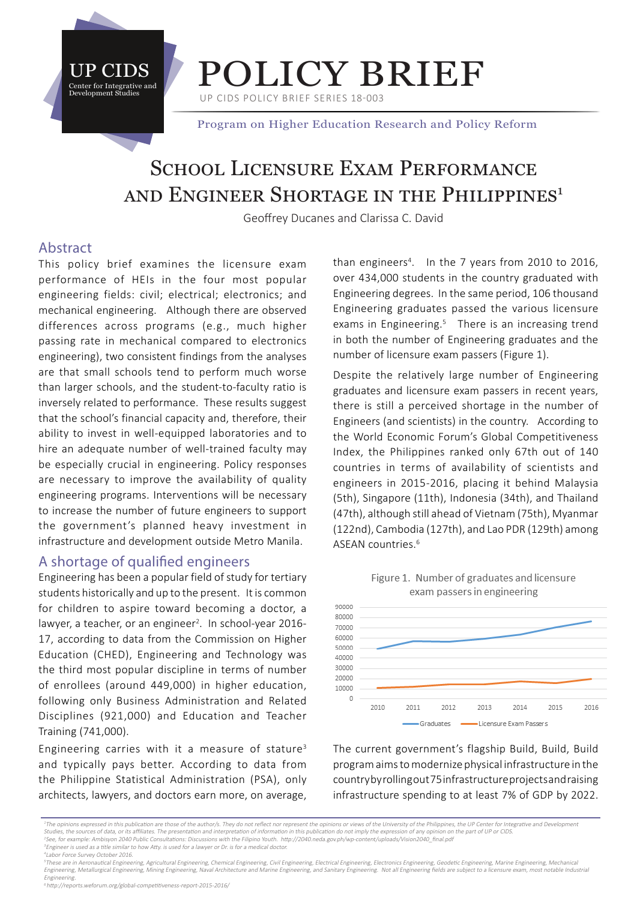POLICY BRIEF

UP CIDS POLICY BRIEF SERIES 18-003

Program on Higher Education Research and Policy Reform

# SCHOOL LICENSURE EXAM PERFORMANCE and Engineer Shortage in the Philippines<sup>1</sup>

Geoffrey Ducanes and Clarissa C. David

### Abstract

UP CIDS Center for Integrative and Development Studies

This policy brief examines the licensure exam performance of HEIs in the four most popular engineering fields: civil; electrical; electronics; and mechanical engineering. Although there are observed differences across programs (e.g., much higher passing rate in mechanical compared to electronics engineering), two consistent findings from the analyses are that small schools tend to perform much worse than larger schools, and the student-to-faculty ratio is inversely related to performance. These results suggest that the school's financial capacity and, therefore, their ability to invest in well-equipped laboratories and to hire an adequate number of well-trained faculty may be especially crucial in engineering. Policy responses are necessary to improve the availability of quality engineering programs. Interventions will be necessary to increase the number of future engineers to support the government's planned heavy investment in infrastructure and development outside Metro Manila.

### A shortage of qualified engineers

Engineering has been a popular field of study for tertiary students historically and up to the present. It is common for children to aspire toward becoming a doctor, a lawyer, a teacher, or an engineer<sup>2</sup>. In school-year 2016-17, according to data from the Commission on Higher Education (CHED), Engineering and Technology was the third most popular discipline in terms of number of enrollees (around 449,000) in higher education, following only Business Administration and Related Disciplines (921,000) and Education and Teacher Training (741,000).

Engineering carries with it a measure of stature<sup>3</sup> and typically pays better. According to data from the Philippine Statistical Administration (PSA), only architects, lawyers, and doctors earn more, on average,

than engineers<sup>4</sup>. In the 7 years from 2010 to 2016, over 434,000 students in the country graduated with Engineering degrees. In the same period, 106 thousand Engineering graduates passed the various licensure exams in Engineering.<sup>5</sup> There is an increasing trend in both the number of Engineering graduates and the number of licensure exam passers (Figure 1).

Despite the relatively large number of Engineering graduates and licensure exam passers in recent years, there is still a perceived shortage in the number of Engineers (and scientists) in the country. According to the World Economic Forum's Global Competitiveness Index, the Philippines ranked only 67th out of 140 countries in terms of availability of scientists and engineers in 2015-2016, placing it behind Malaysia (5th), Singapore (11th), Indonesia (34th), and Thailand (47th), although still ahead of Vietnam (75th), Myanmar (122nd), Cambodia (127th), and Lao PDR (129th) among ASEAN countries.<sup>6</sup>



Figure 1. Number of graduates and licensure

The current government's flagship Build, Build, Build program aims to modernize physical infrastructure in the country by rolling out 75 infrastructure projects and raising infrastructure spending to at least 7% of GDP by 2022.

<sup>1</sup>The opinions expressed in this publication are those of the author/s. They do not reflect nor represent the opinions or views of the University of the Philippines, the UP Center for Integrative and Development Studies, the sources of data, or its affiliates. The presentation and interpretation of information in this publication do not imply the expression of any opinion on the part of UP or CIDS <sup>2</sup>See, for example: Ambisyon 2040 Public Consultations: Discussions with the Filipino Youth. http://2040.neda.gov.ph/wp-content/uploads/Vision2040\_final.pdf

<sup>3</sup>Engineer is used as a title similar to how Atty. is used for a lawyer or Dr. is for a medical doctor.

<sup>6</sup>http://reports.weforum.org/global-competitiveness-report-2015-2016/

<sup>4</sup>Labor Force Survey October 2016.

<sup>&</sup>lt;sup>5</sup>These are in Aeronautical Engineering, Agricultural Engineering, Chemical Engineering, Electronical Engineering, Electronics Engineering, Geodetic Engineering, Marine Engineering, Mechanical Engineering, Metallurgical Engineering, Mining Engineering, Naval Architecture and Marine Engineering, and Sanitary Engineering. Not all Engineering fields are subject to a licensure exam, most notable Industrial Engineering.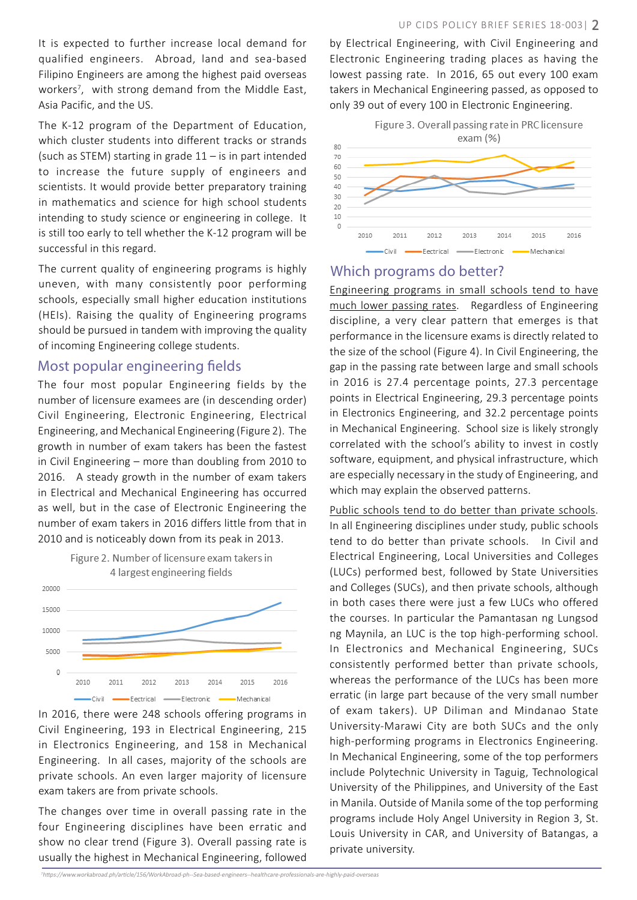It is expected to further increase local demand for qualified engineers. Abroad, land and sea-based Filipino Engineers are among the highest paid overseas workers<sup>7</sup>, with strong demand from the Middle East, Asia Pacific, and the US.

The K-12 program of the Department of Education, which cluster students into different tracks or strands (such as STEM) starting in grade  $11 -$  is in part intended to increase the future supply of engineers and scientists. It would provide better preparatory training in mathematics and science for high school students intending to study science or engineering in college. It is still too early to tell whether the K-12 program will be successful in this regard.

The current quality of engineering programs is highly uneven, with many consistently poor performing schools, especially small higher education institutions (HEIs). Raising the quality of Engineering programs should be pursued in tandem with improving the quality of incoming Engineering college students.

### Most popular engineering fields

The four most popular Engineering fields by the number of licensure examees are (in descending order) Civil Engineering, Electronic Engineering, Electrical Engineering, and Mechanical Engineering (Figure 2). The growth in number of exam takers has been the fastest in Civil Engineering – more than doubling from 2010 to 2016. A steady growth in the number of exam takers in Electrical and Mechanical Engineering has occurred as well, but in the case of Electronic Engineering the number of exam takers in 2016 differs little from that in 2010 and is noticeably down from its peak in 2013.



In 2016, there were 248 schools offering programs in Civil Engineering, 193 in Electrical Engineering, 215 in Electronics Engineering, and 158 in Mechanical Engineering. In all cases, majority of the schools are private schools. An even larger majority of licensure exam takers are from private schools.

The changes over time in overall passing rate in the four Engineering disciplines have been erratic and show no clear trend (Figure 3). Overall passing rate is usually the highest in Mechanical Engineering, followed by Electrical Engineering, with Civil Engineering and Electronic Engineering trading places as having the lowest passing rate. In 2016, 65 out every 100 exam takers in Mechanical Engineering passed, as opposed to only 39 out of every 100 in Electronic Engineering.



# Which programs do better?

Engineering programs in small schools tend to have much lower passing rates. Regardless of Engineering discipline, a very clear pattern that emerges is that performance in the licensure exams is directly related to the size of the school (Figure 4). In Civil Engineering, the gap in the passing rate between large and small schools in 2016 is 27.4 percentage points, 27.3 percentage points in Electrical Engineering, 29.3 percentage points in Electronics Engineering, and 32.2 percentage points in Mechanical Engineering. School size is likely strongly correlated with the school's ability to invest in costly software, equipment, and physical infrastructure, which are especially necessary in the study of Engineering, and which may explain the observed patterns.

Public schools tend to do better than private schools. In all Engineering disciplines under study, public schools tend to do better than private schools. In Civil and Electrical Engineering, Local Universities and Colleges (LUCs) performed best, followed by State Universities and Colleges (SUCs), and then private schools, although in both cases there were just a few LUCs who offered the courses. In particular the Pamantasan ng Lungsod ng Maynila, an LUC is the top high-performing school. In Electronics and Mechanical Engineering, SUCs consistently performed better than private schools, whereas the performance of the LUCs has been more erratic (in large part because of the very small number of exam takers). UP Diliman and Mindanao State University-Marawi City are both SUCs and the only high-performing programs in Electronics Engineering. In Mechanical Engineering, some of the top performers include Polytechnic University in Taguig, Technological University of the Philippines, and University of the East in Manila. Outside of Manila some of the top performing programs include Holy Angel University in Region 3, St. Louis University in CAR, and University of Batangas, a private university.

<sup>7</sup>https://www.workabroad.ph/article/156/WorkAbroad-ph--Sea-based-engineers--healthcare-professionals-are-highly-paid-overseas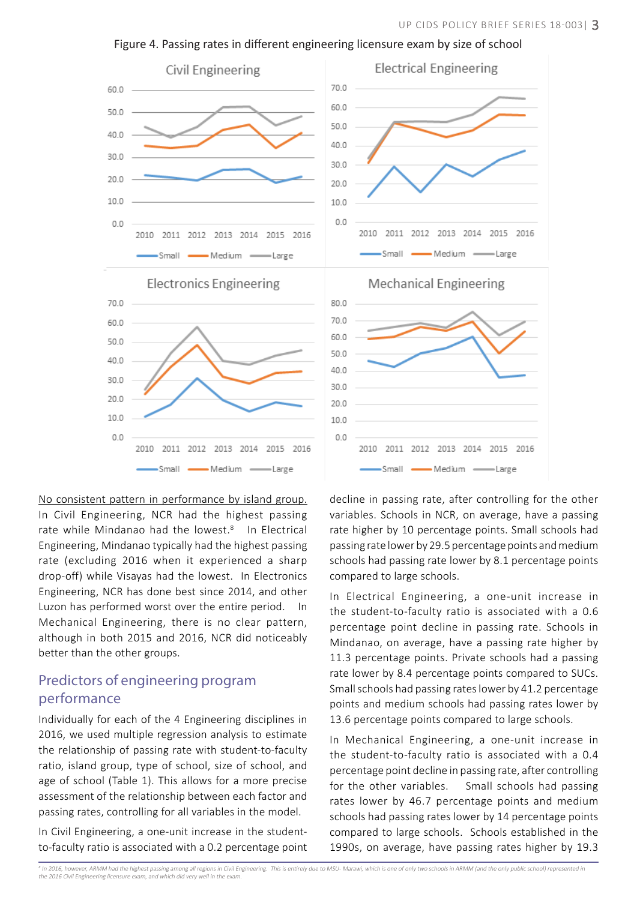





### No consistent pattern in performance by island group. In Civil Engineering, NCR had the highest passing rate while Mindanao had the lowest.<sup>8</sup> In Electrical Engineering, Mindanao typically had the highest passing rate (excluding 2016 when it experienced a sharp drop-off) while Visayas had the lowest. In Electronics Engineering, NCR has done best since 2014, and other Luzon has performed worst over the entire period. In Mechanical Engineering, there is no clear pattern, although in both 2015 and 2016, NCR did noticeably better than the other groups.

# Predictors of engineering program performance

Individually for each of the 4 Engineering disciplines in 2016, we used multiple regression analysis to estimate the relationship of passing rate with student-to-faculty ratio, island group, type of school, size of school, and age of school (Table 1). This allows for a more precise assessment of the relationship between each factor and passing rates, controlling for all variables in the model.

In Civil Engineering, a one-unit increase in the studentto-faculty ratio is associated with a 0.2 percentage point decline in passing rate, after controlling for the other variables. Schools in NCR, on average, have a passing rate higher by 10 percentage points. Small schools had passing rate lower by 29.5 percentage points and medium schools had passing rate lower by 8.1 percentage points compared to large schools.

In Electrical Engineering, a one-unit increase in the student-to-faculty ratio is associated with a 0.6 percentage point decline in passing rate. Schools in Mindanao, on average, have a passing rate higher by 11.3 percentage points. Private schools had a passing rate lower by 8.4 percentage points compared to SUCs. Small schools had passing rates lower by 41.2 percentage points and medium schools had passing rates lower by 13.6 percentage points compared to large schools.

In Mechanical Engineering, a one-unit increase in the student-to-faculty ratio is associated with a 0.4 percentage point decline in passing rate, after controlling for the other variables. Small schools had passing rates lower by 46.7 percentage points and medium schools had passing rates lower by 14 percentage points compared to large schools. Schools established in the 1990s, on average, have passing rates higher by 19.3

<sup>&</sup>lt;sup>8</sup> In 2016, however, ARMM had the highest passing among all regions in Civil Engineering. This is entirely due to MSU- Marawi, which is one of only two schools in ARMM (and the only public school) represented in the 2016 Civil Engineering licensure exam, and which did very well in the exam.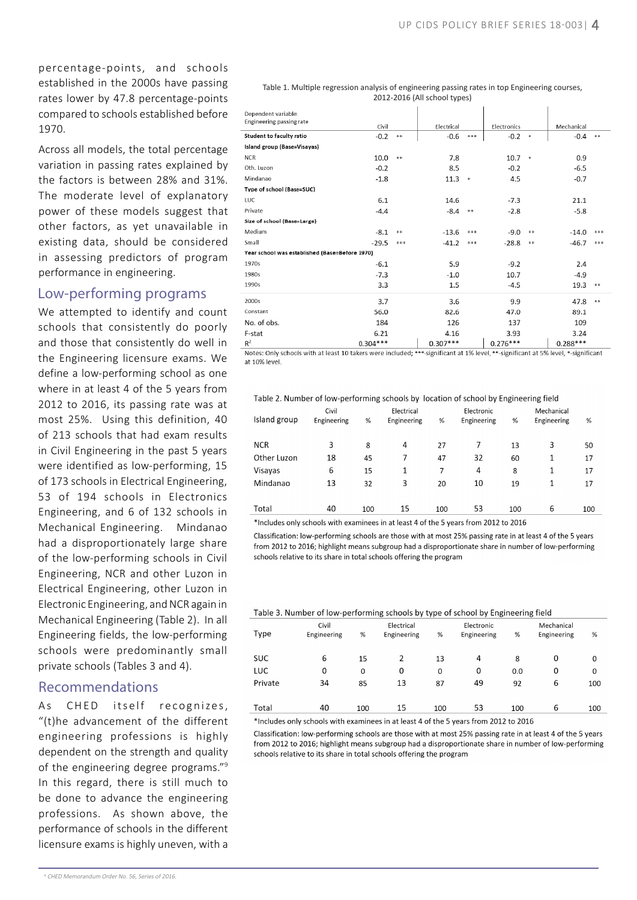percentage-points, and schools established in the 2000s have passing rates lower by 47.8 percentage-points compared to schools established before 1970.

Across all models, the total percentage variation in passing rates explained by the factors is between 28% and 31%. The moderate level of explanatory power of these models suggest that other factors, as yet unavailable in existing data, should be considered in assessing predictors of program performance in engineering.

### Low-performing programs

We attempted to identify and count schools that consistently do poorly and those that consistently do well in the Engineering licensure exams. We define a low-performing school as one where in at least 4 of the 5 years from 2012 to 2016, its passing rate was at most 25%. Using this definition, 40 of 213 schools that had exam results in Civil Engineering in the past 5 years were identified as low-performing, 15 of 173 schools in Electrical Engineering, 53 of 194 schools in Electronics Engineering, and 6 of 132 schools in Mechanical Engineering. Mindanao had a disproportionately large share of the low-performing schools in Civil Engineering, NCR and other Luzon in Electrical Engineering, other Luzon in Electronic Engineering, and NCR again in Mechanical Engineering (Table 2). In all Engineering fields, the low-performing schools were predominantly small private schools (Tables 3 and 4).

### Recommendations

As CHED itself recognizes, "(t)he advancement of the different engineering professions is highly dependent on the strength and quality of the engineering degree programs."9 In this regard, there is still much to be done to advance the engineering professions. As shown above, the performance of schools in the different licensure exams is highly uneven, with a

Table 1. Multiple regression analysis of engineering passing rates in top Engineering courses, 2012-2016 (All school types)

| Dependent variable:<br>Engineering passing rate | Civil      |       | Electrical |               | Electronics |       | Mechanical |         |
|-------------------------------------------------|------------|-------|------------|---------------|-------------|-------|------------|---------|
| Student to faculty ratio                        | $-0.2$     | 事例    | $-0.6$     | 888           | $-0.2$ $*$  |       | $-0.4$     |         |
| Island group (Base=Visayas)                     |            |       |            |               |             |       |            |         |
| <b>NCR</b>                                      | 10.0       | 事例    | 7.8        |               | $10.7 *$    |       | 0.9        |         |
| Oth. Luzon                                      | $-0.2$     |       | 8.5        |               | $-0.2$      |       | $-6.5$     |         |
| Mindanao                                        | $-1.8$     |       | 11.3       | $\rightarrow$ | 4.5         |       | $-0.7$     |         |
| Type of school (Base=SUC)                       |            |       |            |               |             |       |            |         |
| LUC                                             | 6.1        |       | 14.6       |               | $-7.3$      |       | 21.1       |         |
| Private                                         | $-4.4$     |       | $-8.4$     | 教育            | $-2.8$      |       | $-5.8$     |         |
| Size of school (Base=Large)                     |            |       |            |               |             |       |            |         |
| Medium                                          | $-8.1$     | $***$ | $-13.6$    | 222           | $-9.0$      | $***$ | $-14.0$    | 322     |
| Small                                           | $-29.5$    | $***$ | $-41.2$    | $***$         | $-28.8$     | $*$   | $-46.7$    | $* * *$ |
| Year school was established (Base=Before 1970)  |            |       |            |               |             |       |            |         |
| 1970s                                           | $-6.1$     |       | 5.9        |               | $-9.2$      |       | 2.4        |         |
| 1980s                                           | $-7.3$     |       | $-1.0$     |               | 10.7        |       | $-4.9$     |         |
| 1990s                                           | 3.3        |       | 1.5        |               | $-4.5$      |       | 19.3       | **      |
| 2000s                                           | 3.7        |       | 3.6        |               | 9.9         |       | 47.8       | $+ +$   |
| Constant                                        | 56.0       |       | 82.6       |               | 47.0        |       | 89.1       |         |
| No. of obs.                                     | 184        |       | 126        |               | 137         |       | 109        |         |
| F-stat                                          | 6.21       |       | 4.16       |               | 3.93        |       | 3.24       |         |
| $R^2$                                           | $0.304***$ |       | $0.307***$ |               | $0.276***$  |       | $0.288***$ |         |

Notes: Only schools with at least 10 takers were included; \*\*\*-significant at 1% level, \*\*-significant at 5% level, \*-significant at 10% level

#### Table 2. Number of low-performing schools by location of school by Engineering field

|              | Civil       |     | Electrical  |     | Electronic  |     | Mechanical  |     |
|--------------|-------------|-----|-------------|-----|-------------|-----|-------------|-----|
| Island group | Engineering | %   | Engineering | %   | Engineering | %   | Engineering | %   |
|              |             |     |             |     |             |     |             |     |
| <b>NCR</b>   | 3           | 8   | 4           | 27  |             | 13  | 3           | 50  |
| Other Luzon  | 18          | 45  |             | 47  | 32          | 60  | 1           | 17  |
| Visayas      | 6           | 15  | 1           | 7   | 4           | 8   | 1           | 17  |
| Mindanao     | 13          | 32  | 3           | 20  | 10          | 19  | 1           | 17  |
|              |             |     |             |     |             |     |             |     |
| Total        | 40          | 100 | 15          | 100 | 53          | 100 | 6           | 100 |

\*Includes only schools with examinees in at least 4 of the 5 years from 2012 to 2016

Classification: low-performing schools are those with at most 25% passing rate in at least 4 of the 5 years from 2012 to 2016; highlight means subgroup had a disproportionate share in number of low-performing schools relative to its share in total schools offering the program

#### Table 3. Number of low-performing schools by type of school by Engineering field

|            |                      |     | ້                         | $\cdots$ | ້                         |     | ້                         |     |
|------------|----------------------|-----|---------------------------|----------|---------------------------|-----|---------------------------|-----|
| Type       | Civil<br>Engineering | %   | Electrical<br>Engineering | %        | Electronic<br>Engineering | %   | Mechanical<br>Engineering | %   |
| <b>SUC</b> | 6                    | 15  | 2                         | 13       | 4                         | 8   | 0                         | 0   |
| <b>LUC</b> | 0                    | 0   | 0                         | 0        | 0                         | 0.0 | 0                         | 0   |
| Private    | 34                   | 85  | 13                        | 87       | 49                        | 92  | 6                         | 100 |
| Total      | 40                   | 100 | 15                        | 100      | 53                        | 100 | 6                         | 100 |

\*Includes only schools with examinees in at least 4 of the 5 years from 2012 to 2016

Classification: low-performing schools are those with at most 25% passing rate in at least 4 of the 5 years from 2012 to 2016; highlight means subgroup had a disproportionate share in number of low-performing schools relative to its share in total schools offering the program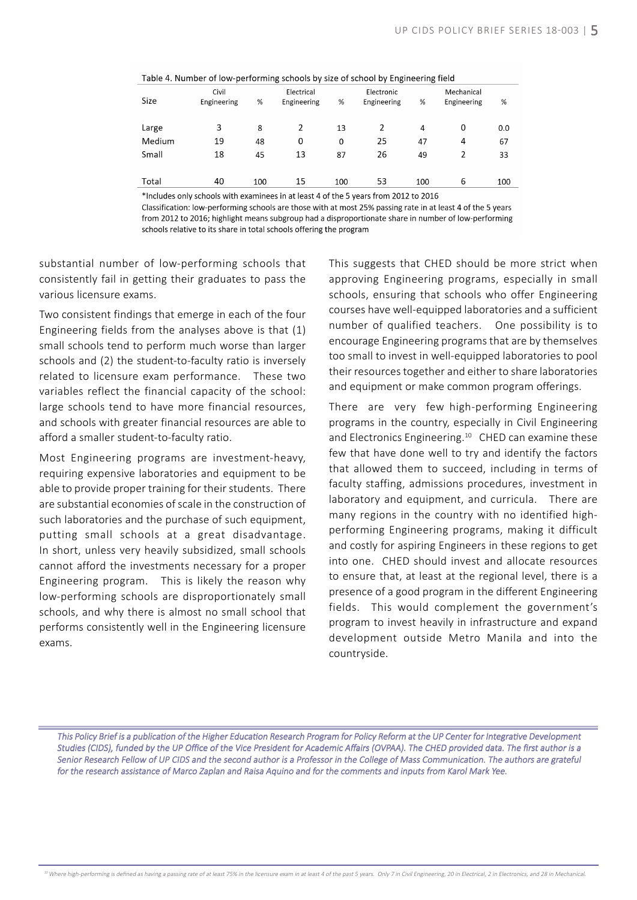| Table 4. Number of low-performing schools by size of school by Engineering field |                      |     |                           |     |                           |     |                           |     |  |
|----------------------------------------------------------------------------------|----------------------|-----|---------------------------|-----|---------------------------|-----|---------------------------|-----|--|
| Size                                                                             | Civil<br>Engineering | %   | Electrical<br>Engineering | %   | Electronic<br>Engineering | %   | Mechanical<br>Engineering | %   |  |
| Large                                                                            | 3                    | 8   |                           | 13  |                           | 4   | 0                         | 0.0 |  |
| Medium                                                                           | 19                   | 48  | 0                         | 0   | 25                        | 47  | 4                         | 67  |  |
| Small                                                                            | 18                   | 45  | 13                        | 87  | 26                        | 49  |                           | 33  |  |
|                                                                                  |                      |     |                           |     |                           |     |                           |     |  |
| Total                                                                            | 40                   | 100 | 15                        | 100 | 53                        | 100 | 6                         | 100 |  |

|  | Table 4. Number of low-performing schools by size of school by Engineering field |  |  |  |
|--|----------------------------------------------------------------------------------|--|--|--|

\*Includes only schools with examinees in at least 4 of the 5 years from 2012 to 2016

Classification: low-performing schools are those with at most 25% passing rate in at least 4 of the 5 years from 2012 to 2016; highlight means subgroup had a disproportionate share in number of low-performing schools relative to its share in total schools offering the program

substantial number of low-performing schools that consistently fail in getting their graduates to pass the various licensure exams.

Two consistent findings that emerge in each of the four Engineering fields from the analyses above is that (1) small schools tend to perform much worse than larger schools and (2) the student-to-faculty ratio is inversely related to licensure exam performance. These two variables reflect the financial capacity of the school: large schools tend to have more financial resources, and schools with greater financial resources are able to afford a smaller student-to-faculty ratio.

Most Engineering programs are investment-heavy, requiring expensive laboratories and equipment to be able to provide proper training for their students. There are substantial economies of scale in the construction of such laboratories and the purchase of such equipment, putting small schools at a great disadvantage. In short, unless very heavily subsidized, small schools cannot afford the investments necessary for a proper Engineering program. This is likely the reason why low-performing schools are disproportionately small schools, and why there is almost no small school that performs consistently well in the Engineering licensure exams.

This suggests that CHED should be more strict when approving Engineering programs, especially in small schools, ensuring that schools who offer Engineering courses have well-equipped laboratories and a sufficient number of qualified teachers. One possibility is to encourage Engineering programs that are by themselves too small to invest in well-equipped laboratories to pool their resources together and either to share laboratories and equipment or make common program offerings.

There are very few high-performing Engineering programs in the country, especially in Civil Engineering and Electronics Engineering.<sup>10</sup> CHED can examine these few that have done well to try and identify the factors that allowed them to succeed, including in terms of faculty staffing, admissions procedures, investment in laboratory and equipment, and curricula. There are many regions in the country with no identified highperforming Engineering programs, making it difficult and costly for aspiring Engineers in these regions to get into one. CHED should invest and allocate resources to ensure that, at least at the regional level, there is a presence of a good program in the different Engineering fields. This would complement the government's program to invest heavily in infrastructure and expand development outside Metro Manila and into the countryside.

This Policy Brief is a publication of the Higher Education Research Program for Policy Reform at the UP Center for Integrative Development Studies (CIDS), funded by the UP Office of the Vice President for Academic Affairs (OVPAA). The CHED provided data. The first author is a Senior Research Fellow of UP CIDS and the second author is a Professor in the College of Mass Communication. The authors are grateful for the research assistance of Marco Zaplan and Raisa Aquino and for the comments and inputs from Karol Mark Yee.

<sup>10</sup>Where high-performing is defined as having a passing rate of at least 75% in the licensure exam in at least 4 of the past 5 years. Only 7 in Civil Engineering, 20 in Electrical, 2 in Electronics, and 28 in Mechanical.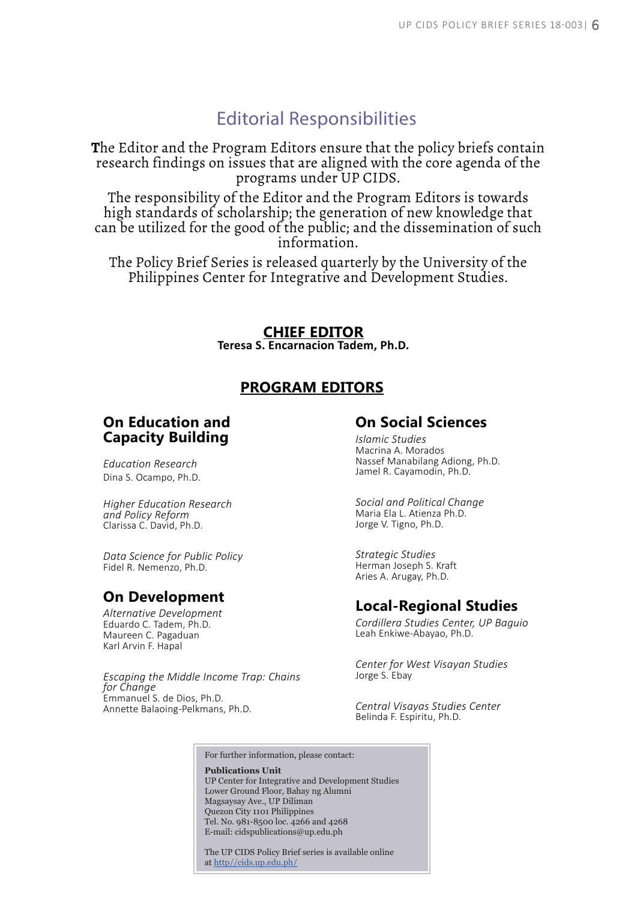# Editorial Responsibilities

**T**he Editor and the Program Editors ensure that the policy briefs contain research findings on issues that are aligned with the core agenda of the programs under UP CIDS.

The responsibility of the Editor and the Program Editors is towards high standards of scholarship; the generation of new knowledge that can be utilized for the good of the public; and the dissemination of such information.

The Policy Brief Series is released quarterly by the University of the Philippines Center for Integrative and Development Studies.

> **CHIEF EDITOR Teresa S. Encarnacion Tadem, Ph.D.**

## **PROGRAM EDITORS**

## **On Education and Capacity Building**

*Education Research*  Dina S. Ocampo, Ph.D.

*Higher Education Research and Policy Reform* Clarissa C. David, Ph.D.

*Data Science for Public Policy* Fidel R. Nemenzo, Ph.D.

# **On Development**

*Alternative Development* Eduardo C. Tadem, Ph.D. Maureen C. Pagaduan Karl Arvin F. Hapal

*Escaping the Middle Income Trap: Chains for Change* Emmanuel S. de Dios, Ph.D. Annette Balaoing-Pelkmans, Ph.D.

## **On Social Sciences**

*Islamic Studies* Macrina A. Morados Nassef Manabilang Adiong, Ph.D. Jamel R. Cayamodin, Ph.D.

*Social and Political Change* Maria Ela L. Atienza Ph.D. Jorge V. Tigno, Ph.D.

*Strategic Studies* Herman Joseph S. Kraft Aries A. Arugay, Ph.D.

# **Local-Regional Studies**

*Cordillera Studies Center, UP Baguio* Leah Enkiwe-Abayao, Ph.D.

*Center for West Visayan Studies* Jorge S. Ebay

*Central Visayas Studies Center* Belinda F. Espiritu, Ph.D.

For further information, please contact:

**Publications Unit** UP Center for Integrative and Development Studies Lower Ground Floor, Bahay ng Alumni Magsaysay Ave., UP Diliman Quezon City 1101 Philippines Tel. No. 981-8500 loc. 4266 and 4268 E-mail: cidspublications@up.edu.ph

The UP CIDS Policy Brief series is available online at http//cids.up.edu.ph/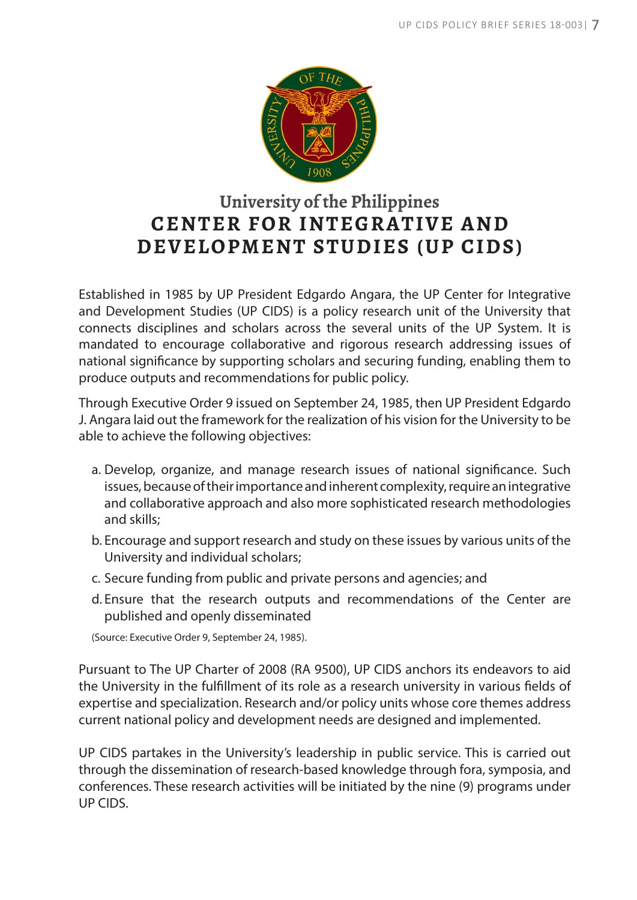

# **University of the Philippines CENTER FOR INTEGRATIVE AND DEVELOPMENT STUDIES (UP CIDS)**

Established in 1985 by UP President Edgardo Angara, the UP Center for Integrative and Development Studies (UP CIDS) is a policy research unit of the University that connects disciplines and scholars across the several units of the UP System. It is mandated to encourage collaborative and rigorous research addressing issues of national significance by supporting scholars and securing funding, enabling them to produce outputs and recommendations for public policy.

Through Executive Order 9 issued on September 24, 1985, then UP President Edgardo J. Angara laid out the framework for the realization of his vision for the University to be able to achieve the following objectives:

- a. Develop, organize, and manage research issues of national significance. Such issues, because of their importance and inherent complexity, require an integrative and collaborative approach and also more sophisticated research methodologies and skills;
- b. Encourage and support research and study on these issues by various units of the University and individual scholars;
- c. Secure funding from public and private persons and agencies; and
- d. Ensure that the research outputs and recommendations of the Center are published and openly disseminated

(Source: Executive Order 9, September 24, 1985).

Pursuant to The UP Charter of 2008 (RA 9500), UP CIDS anchors its endeavors to aid the University in the fulfillment of its role as a research university in various fields of expertise and specialization. Research and/or policy units whose core themes address current national policy and development needs are designed and implemented.

UP CIDS partakes in the University's leadership in public service. This is carried out through the dissemination of research-based knowledge through fora, symposia, and conferences. These research activities will be initiated by the nine (9) programs under UP CIDS.